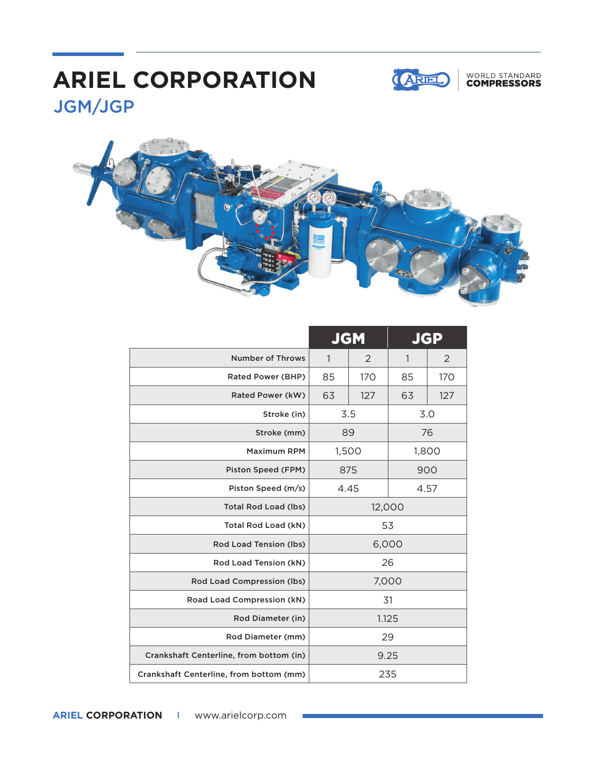## JGM/JGP **ARIEL CORPORATION**



### WORLD STANDARD<br>**COMPRESSORS**



|                                         | <b>JGM</b> |     | JGP          |     |
|-----------------------------------------|------------|-----|--------------|-----|
| Number of Throws                        | 1          | 2   | $\mathbf{1}$ | 2   |
| Rated Power (BHP)                       | 85         | 170 | 85           | 170 |
| Rated Power (kW)                        | 63         | 127 | 63           | 127 |
| Stroke (in)                             | 3.5        |     | 3.0          |     |
| Stroke (mm)                             | 89         |     | 76           |     |
| <b>Maximum RPM</b>                      | 1,500      |     | 1,800        |     |
| Piston Speed (FPM)                      | 875        |     | 900          |     |
| Piston Speed (m/s)                      | 4.45       |     | 4.57         |     |
| <b>Total Rod Load (lbs)</b>             | 12,000     |     |              |     |
| Total Rod Load (kN)                     | 53         |     |              |     |
| Rod Load Tension (lbs)                  | 6,000      |     |              |     |
| Rod Load Tension (kN)                   | 26         |     |              |     |
| Rod Load Compression (lbs)              | 7,000      |     |              |     |
| Road Load Compression (kN)              | 31         |     |              |     |
| Rod Diameter (in)                       | 1.125      |     |              |     |
| Rod Diameter (mm)                       | 29         |     |              |     |
| Crankshaft Centerline, from bottom (in) | 9.25       |     |              |     |
| Crankshaft Centerline, from bottom (mm) | 235        |     |              |     |